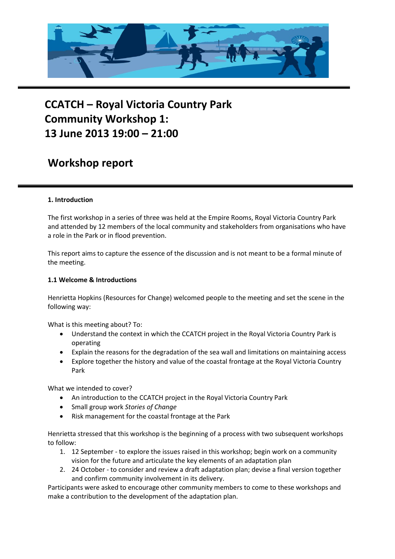

# **CCATCH – Royal Victoria Country Park Community Workshop 1: 13 June 2013 19:00 – 21:00**

# **Workshop report**

## **1. Introduction**

The first workshop in a series of three was held at the Empire Rooms, Royal Victoria Country Park and attended by 12 members of the local community and stakeholders from organisations who have a role in the Park or in flood prevention.

This report aims to capture the essence of the discussion and is not meant to be a formal minute of the meeting.

#### **1.1 Welcome & Introductions**

Henrietta Hopkins (Resources for Change) welcomed people to the meeting and set the scene in the following way:

What is this meeting about? To:

- Understand the context in which the CCATCH project in the Royal Victoria Country Park is operating
- Explain the reasons for the degradation of the sea wall and limitations on maintaining access
- Explore together the history and value of the coastal frontage at the Royal Victoria Country Park

What we intended to cover?

- An introduction to the CCATCH project in the Royal Victoria Country Park
- Small group work *Stories of Change*
- Risk management for the coastal frontage at the Park

Henrietta stressed that this workshop is the beginning of a process with two subsequent workshops to follow:

- 1. 12 September to explore the issues raised in this workshop; begin work on a community vision for the future and articulate the key elements of an adaptation plan
- 2. 24 October to consider and review a draft adaptation plan; devise a final version together and confirm community involvement in its delivery.

Participants were asked to encourage other community members to come to these workshops and make a contribution to the development of the adaptation plan.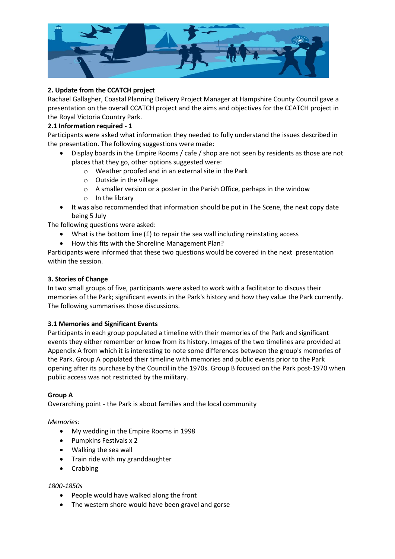

# **2. Update from the CCATCH project**

Rachael Gallagher, Coastal Planning Delivery Project Manager at Hampshire County Council gave a presentation on the overall CCATCH project and the aims and objectives for the CCATCH project in the Royal Victoria Country Park.

# **2.1 Information required - 1**

Participants were asked what information they needed to fully understand the issues described in the presentation. The following suggestions were made:

- Display boards in the Empire Rooms / cafe / shop are not seen by residents as those are not places that they go, other options suggested were:
	- o Weather proofed and in an external site in the Park
	- o Outside in the village
	- o A smaller version or a poster in the Parish Office, perhaps in the window
	- o In the library
- It was also recommended that information should be put in The Scene, the next copy date being 5 July

The following questions were asked:

- What is the bottom line  $(E)$  to repair the sea wall including reinstating access
- How this fits with the Shoreline Management Plan?

Participants were informed that these two questions would be covered in the next presentation within the session.

## **3. Stories of Change**

In two small groups of five, participants were asked to work with a facilitator to discuss their memories of the Park; significant events in the Park's history and how they value the Park currently. The following summarises those discussions.

# **3.1 Memories and Significant Events**

Participants in each group populated a timeline with their memories of the Park and significant events they either remember or know from its history. Images of the two timelines are provided at Appendix A from which it is interesting to note some differences between the group's memories of the Park. Group A populated their timeline with memories and public events prior to the Park opening after its purchase by the Council in the 1970s. Group B focused on the Park post-1970 when public access was not restricted by the military.

# **Group A**

Overarching point - the Park is about families and the local community

#### *Memories:*

- My wedding in the Empire Rooms in 1998
- Pumpkins Festivals x 2
- Walking the sea wall
- Train ride with my granddaughter
- Crabbing

#### *1800-1850s*

- People would have walked along the front
- The western shore would have been gravel and gorse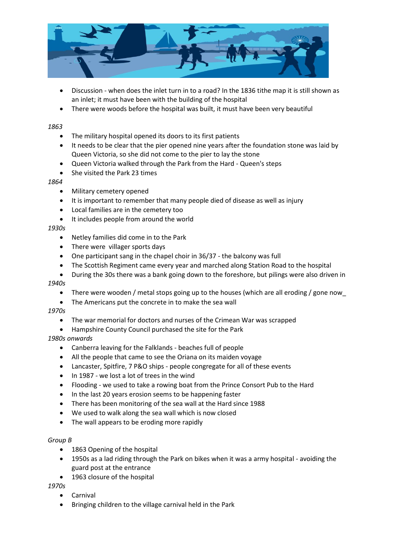

- Discussion when does the inlet turn in to a road? In the 1836 tithe map it is still shown as an inlet; it must have been with the building of the hospital
- There were woods before the hospital was built, it must have been very beautiful

#### *1863*

- The military hospital opened its doors to its first patients
- It needs to be clear that the pier opened nine years after the foundation stone was laid by Queen Victoria, so she did not come to the pier to lay the stone
- Queen Victoria walked through the Park from the Hard Queen's steps
- She visited the Park 23 times

#### *1864*

- Military cemetery opened
- It is important to remember that many people died of disease as well as injury
- Local families are in the cemetery too
- It includes people from around the world

#### *1930s*

- Netley families did come in to the Park
- There were villager sports days
- One participant sang in the chapel choir in 36/37 the balcony was full
- The Scottish Regiment came every year and marched along Station Road to the hospital
- During the 30s there was a bank going down to the foreshore, but pilings were also driven in *1940s*
	- There were wooden / metal stops going up to the houses (which are all eroding / gone now
	- The Americans put the concrete in to make the sea wall

#### *1970s*

- The war memorial for doctors and nurses of the Crimean War was scrapped
- Hampshire County Council purchased the site for the Park

#### *1980s onwards*

- Canberra leaving for the Falklands beaches full of people
- All the people that came to see the Oriana on its maiden voyage
- Lancaster, Spitfire, 7 P&O ships people congregate for all of these events
- In 1987 we lost a lot of trees in the wind
- Flooding we used to take a rowing boat from the Prince Consort Pub to the Hard
- In the last 20 years erosion seems to be happening faster
- There has been monitoring of the sea wall at the Hard since 1988
- We used to walk along the sea wall which is now closed
- The wall appears to be eroding more rapidly

#### *Group B*

- 1863 Opening of the hospital
- 1950s as a lad riding through the Park on bikes when it was a army hospital avoiding the guard post at the entrance
- 1963 closure of the hospital

*1970s*

- Carnival
- Bringing children to the village carnival held in the Park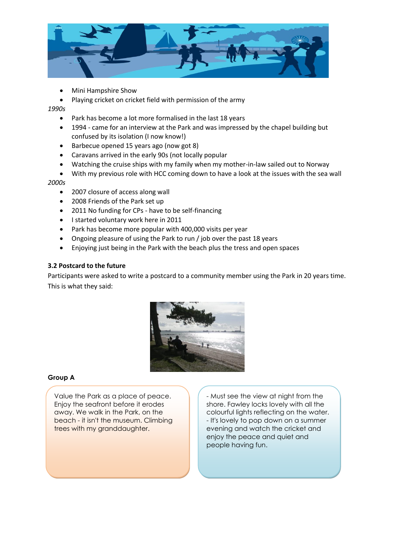

Mini Hampshire Show

Playing cricket on cricket field with permission of the army

*1990s*

- Park has become a lot more formalised in the last 18 years
- 1994 came for an interview at the Park and was impressed by the chapel building but confused by its isolation (I now know!)
- Barbecue opened 15 years ago (now got 8)
- Caravans arrived in the early 90s (not locally popular
- Watching the cruise ships with my family when my mother-in-law sailed out to Norway
- With my previous role with HCC coming down to have a look at the issues with the sea wall *2000s*
	- 2007 closure of access along wall
	- 2008 Friends of the Park set up
	- 2011 No funding for CPs have to be self-financing
	- I started voluntary work here in 2011
	- Park has become more popular with 400,000 visits per year
	- Ongoing pleasure of using the Park to run / job over the past 18 years
	- Enjoying just being in the Park with the beach plus the tress and open spaces

## **3.2 Postcard to the future**

Participants were asked to write a postcard to a community member using the Park in 20 years time. This is what they said:



#### **Group A**

Value the Park as a place of peace. Enjoy the seafront before it erodes away. We walk in the Park, on the beach - it isn't the museum. Climbing trees with my granddaughter.

- Must see the view at night from the shore. Fawley locks lovely with all the colourful lights reflecting on the water. - It's lovely to pop down on a summer evening and watch the cricket and enjoy the peace and quiet and people having fun.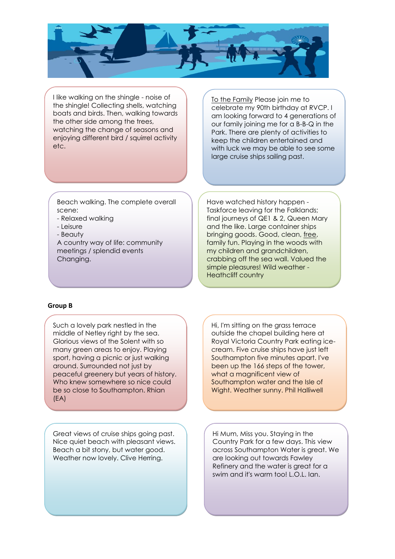

I like walking on the shingle - noise of the shingle! Collecting shells, watching boats and birds. Then, walking towards the other side among the trees, watching the change of seasons and enjoying different bird / squirrel activity etc.

To the Family Please join me to celebrate my 90th birthday at RVCP. I am looking forward to 4 generations of our family joining me for a B-B-Q in the Park. There are plenty of activities to keep the children entertained and with luck we may be able to see some large cruise ships sailing past.

Beach walking. The complete overall scene:

- Relaxed walking
- Leisure
- Beauty

A country way of life: community meetings / splendid events Changing.

Have watched history happen - Taskforce leaving for the Falklands; final journeys of QE1 & 2, Queen Mary and the like. Large container ships bringing goods. Good, clean, free, family fun. Playing in the woods with my children and grandchildren, crabbing off the sea wall. Valued the simple pleasures! Wild weather - Heathcliff country

#### **Group B**

Such a lovely park nestled in the middle of Netley right by the sea. Glorious views of the Solent with so many green areas to enjoy. Playing sport, having a picnic or just walking around. Surrounded not just by peaceful greenery but years of history. Who knew somewhere so nice could be so close to Southampton. Rhian (EA)

Great views of cruise ships going past. Nice quiet beach with pleasant views. Beach a bit stony, but water good. Weather now lovely. Clive Herring.

Hi, I'm sitting on the grass terrace outside the chapel building here at Royal Victoria Country Park eating icecream. Five cruise ships have just left Southampton five minutes apart. I've been up the 166 steps of the tower, what a magnificent view of Southampton water and the Isle of Wight. Weather sunny. Phil Halliwell

Hi Mum, Miss you. Staying in the Country Park for a few days. This view across Southampton Water is great. We are looking out towards Fawley Refinery and the water is great for a swim and it's warm too! L.O.L. Ian.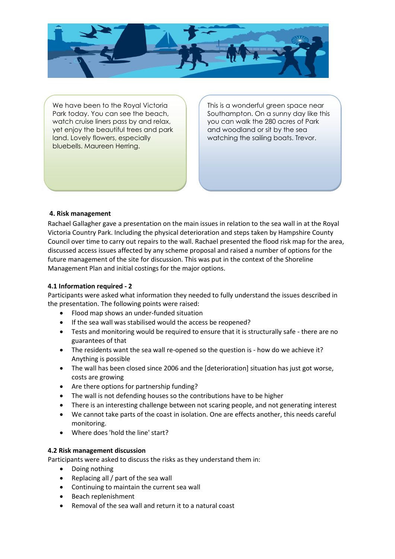

We have been to the Royal Victoria Park today. You can see the beach, watch cruise liners pass by and relax, yet enjoy the beautiful trees and park land. Lovely flowers, especially bluebells. Maureen Herring.

This is a wonderful green space near Southampton. On a sunny day like this you can walk the 280 acres of Park and woodland or sit by the sea watching the sailing boats. Trevor.

## **4. Risk management**

Rachael Gallagher gave a presentation on the main issues in relation to the sea wall in at the Royal Victoria Country Park. Including the physical deterioration and steps taken by Hampshire County Council over time to carry out repairs to the wall. Rachael presented the flood risk map for the area, discussed access issues affected by any scheme proposal and raised a number of options for the future management of the site for discussion. This was put in the context of the Shoreline Management Plan and initial costings for the major options.

#### **4.1 Information required - 2**

Participants were asked what information they needed to fully understand the issues described in the presentation. The following points were raised:

- Flood map shows an under-funded situation
- If the sea wall was stabilised would the access be reopened?
- Tests and monitoring would be required to ensure that it is structurally safe there are no guarantees of that
- The residents want the sea wall re-opened so the question is how do we achieve it? Anything is possible
- The wall has been closed since 2006 and the [deterioration] situation has just got worse, costs are growing
- Are there options for partnership funding?
- The wall is not defending houses so the contributions have to be higher
- There is an interesting challenge between not scaring people, and not generating interest
- We cannot take parts of the coast in isolation. One are effects another, this needs careful monitoring.
- Where does 'hold the line' start?

#### **4.2 Risk management discussion**

Participants were asked to discuss the risks as they understand them in:

- Doing nothing
- Replacing all  $/$  part of the sea wall
- Continuing to maintain the current sea wall
- Beach replenishment
- Removal of the sea wall and return it to a natural coast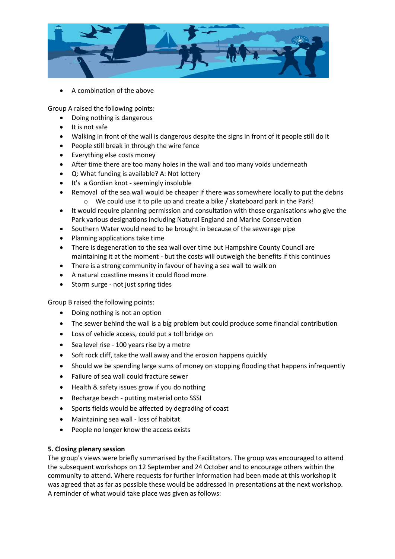

A combination of the above

Group A raised the following points:

- Doing nothing is dangerous
- It is not safe
- Walking in front of the wall is dangerous despite the signs in front of it people still do it
- People still break in through the wire fence
- Everything else costs money
- After time there are too many holes in the wall and too many voids underneath
- Q: What funding is available? A: Not lottery
- It's a Gordian knot seemingly insoluble
- Removal of the sea wall would be cheaper if there was somewhere locally to put the debris o We could use it to pile up and create a bike / skateboard park in the Park!
- It would require planning permission and consultation with those organisations who give the Park various designations including Natural England and Marine Conservation
- Southern Water would need to be brought in because of the sewerage pipe
- Planning applications take time
- There is degeneration to the sea wall over time but Hampshire County Council are maintaining it at the moment - but the costs will outweigh the benefits if this continues
- There is a strong community in favour of having a sea wall to walk on
- A natural coastline means it could flood more
- Storm surge not just spring tides

Group B raised the following points:

- Doing nothing is not an option
- The sewer behind the wall is a big problem but could produce some financial contribution
- Loss of vehicle access, could put a toll bridge on
- Sea level rise 100 years rise by a metre
- Soft rock cliff, take the wall away and the erosion happens quickly
- Should we be spending large sums of money on stopping flooding that happens infrequently
- Failure of sea wall could fracture sewer
- Health & safety issues grow if you do nothing
- Recharge beach putting material onto SSSI
- Sports fields would be affected by degrading of coast
- Maintaining sea wall loss of habitat
- People no longer know the access exists

# **5. Closing plenary session**

The group's views were briefly summarised by the Facilitators. The group was encouraged to attend the subsequent workshops on 12 September and 24 October and to encourage others within the community to attend. Where requests for further information had been made at this workshop it was agreed that as far as possible these would be addressed in presentations at the next workshop. A reminder of what would take place was given as follows: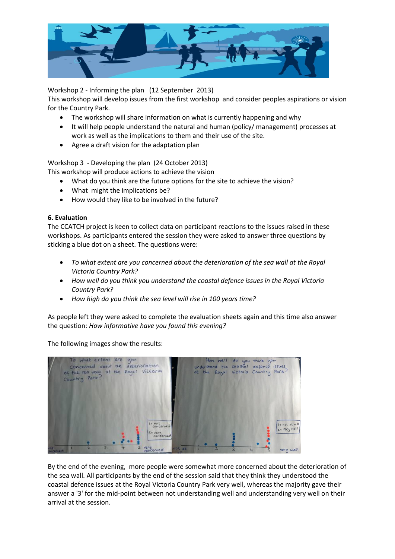

Workshop 2 - Informing the plan (12 September 2013)

This workshop will develop issues from the first workshop and consider peoples aspirations or vision for the Country Park.

- The workshop will share information on what is currently happening and why
- It will help people understand the natural and human (policy/ management) processes at work as well as the implications to them and their use of the site.
- Agree a draft vision for the adaptation plan

Workshop 3 - Developing the plan (24 October 2013)

This workshop will produce actions to achieve the vision

- What do you think are the future options for the site to achieve the vision?
- What might the implications be?
- How would they like to be involved in the future?

#### **6. Evaluation**

The CCATCH project is keen to collect data on participant reactions to the issues raised in these workshops. As participants entered the session they were asked to answer three questions by sticking a blue dot on a sheet. The questions were:

- *To what extent are you concerned about the deterioration of the sea wall at the Royal Victoria Country Park?*
- *How well do you think you understand the coastal defence issues in the Royal Victoria Country Park?*
- *How high do you think the sea level will rise in 100 years time?*

As people left they were asked to complete the evaluation sheets again and this time also answer the question: *How informative have you found this evening?* 

The following images show the results:



By the end of the evening, more people were somewhat more concerned about the deterioration of the sea wall. All participants by the end of the session said that they think they understood the coastal defence issues at the Royal Victoria Country Park very well, whereas the majority gave their answer a '3' for the mid-point between not understanding well and understanding very well on their arrival at the session.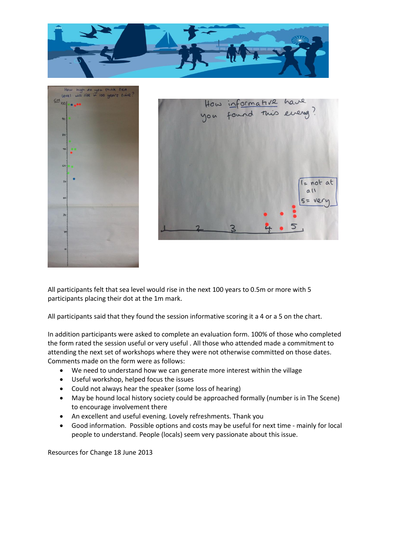





All participants felt that sea level would rise in the next 100 years to 0.5m or more with 5 participants placing their dot at the 1m mark.

All participants said that they found the session informative scoring it a 4 or a 5 on the chart.

In addition participants were asked to complete an evaluation form. 100% of those who completed the form rated the session useful or very useful . All those who attended made a commitment to attending the next set of workshops where they were not otherwise committed on those dates. Comments made on the form were as follows:

- We need to understand how we can generate more interest within the village
- Useful workshop, helped focus the issues
- Could not always hear the speaker (some loss of hearing)
- May be hound local history society could be approached formally (number is in The Scene) to encourage involvement there
- An excellent and useful evening. Lovely refreshments. Thank you
- Good information. Possible options and costs may be useful for next time mainly for local people to understand. People (locals) seem very passionate about this issue.

Resources for Change 18 June 2013